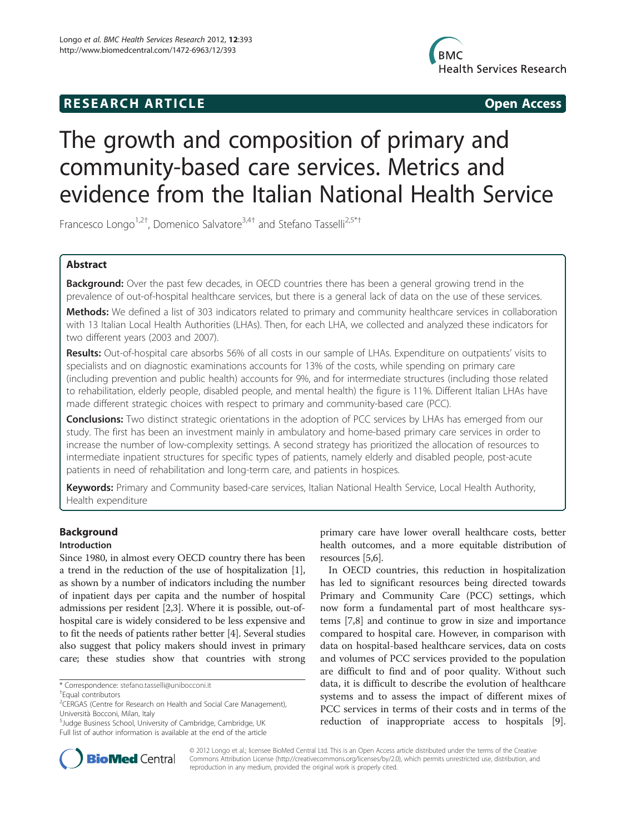## **RESEARCH ARTICLE Example 2014 CONSIDERING CONSIDERING CONSIDERING CONSIDERING CONSIDERING CONSIDERING CONSIDERING CONSIDERING CONSIDERING CONSIDERING CONSIDERING CONSIDERING CONSIDERING CONSIDERING CONSIDERING CONSIDE**



# The growth and composition of primary and community-based care services. Metrics and evidence from the Italian National Health Service

Francesco Longo<sup>1,2†</sup>, Domenico Salvatore<sup>3,4†</sup> and Stefano Tasselli<sup>2,5\*†</sup>

## Abstract

Background: Over the past few decades, in OECD countries there has been a general growing trend in the prevalence of out-of-hospital healthcare services, but there is a general lack of data on the use of these services.

Methods: We defined a list of 303 indicators related to primary and community healthcare services in collaboration with 13 Italian Local Health Authorities (LHAs). Then, for each LHA, we collected and analyzed these indicators for two different years (2003 and 2007).

Results: Out-of-hospital care absorbs 56% of all costs in our sample of LHAs. Expenditure on outpatients' visits to specialists and on diagnostic examinations accounts for 13% of the costs, while spending on primary care (including prevention and public health) accounts for 9%, and for intermediate structures (including those related to rehabilitation, elderly people, disabled people, and mental health) the figure is 11%. Different Italian LHAs have made different strategic choices with respect to primary and community-based care (PCC).

Conclusions: Two distinct strategic orientations in the adoption of PCC services by LHAs has emerged from our study. The first has been an investment mainly in ambulatory and home-based primary care services in order to increase the number of low-complexity settings. A second strategy has prioritized the allocation of resources to intermediate inpatient structures for specific types of patients, namely elderly and disabled people, post-acute patients in need of rehabilitation and long-term care, and patients in hospices.

Keywords: Primary and Community based-care services, Italian National Health Service, Local Health Authority, Health expenditure

## **Background**

## Introduction

Since 1980, in almost every OECD country there has been a trend in the reduction of the use of hospitalization [[1](#page-11-0)], as shown by a number of indicators including the number of inpatient days per capita and the number of hospital admissions per resident [[2](#page-11-0),[3](#page-11-0)]. Where it is possible, out-ofhospital care is widely considered to be less expensive and to fit the needs of patients rather better [\[4](#page-11-0)]. Several studies also suggest that policy makers should invest in primary care; these studies show that countries with strong

primary care have lower overall healthcare costs, better health outcomes, and a more equitable distribution of resources [\[5,6\]](#page-11-0).

In OECD countries, this reduction in hospitalization has led to significant resources being directed towards Primary and Community Care (PCC) settings, which now form a fundamental part of most healthcare systems [[7,8\]](#page-11-0) and continue to grow in size and importance compared to hospital care. However, in comparison with data on hospital-based healthcare services, data on costs and volumes of PCC services provided to the population are difficult to find and of poor quality. Without such data, it is difficult to describe the evolution of healthcare systems and to assess the impact of different mixes of PCC services in terms of their costs and in terms of the reduction of inappropriate access to hospitals [\[9](#page-11-0)].



© 2012 Longo et al.; licensee BioMed Central Ltd. This is an Open Access article distributed under the terms of the Creative Commons Attribution License [\(http://creativecommons.org/licenses/by/2.0\)](http://creativecommons.org/licenses/by/2.0), which permits unrestricted use, distribution, and reproduction in any medium, provided the original work is properly cited.

<sup>\*</sup> Correspondence: [stefano.tasselli@unibocconi.it](mailto:stefano.tasselli@unibocconi.it) †

Equal contributors

<sup>&</sup>lt;sup>2</sup>CERGAS (Centre for Research on Health and Social Care Management), Università Bocconi, Milan, Italy

<sup>5</sup> Judge Business School, University of Cambridge, Cambridge, UK Full list of author information is available at the end of the article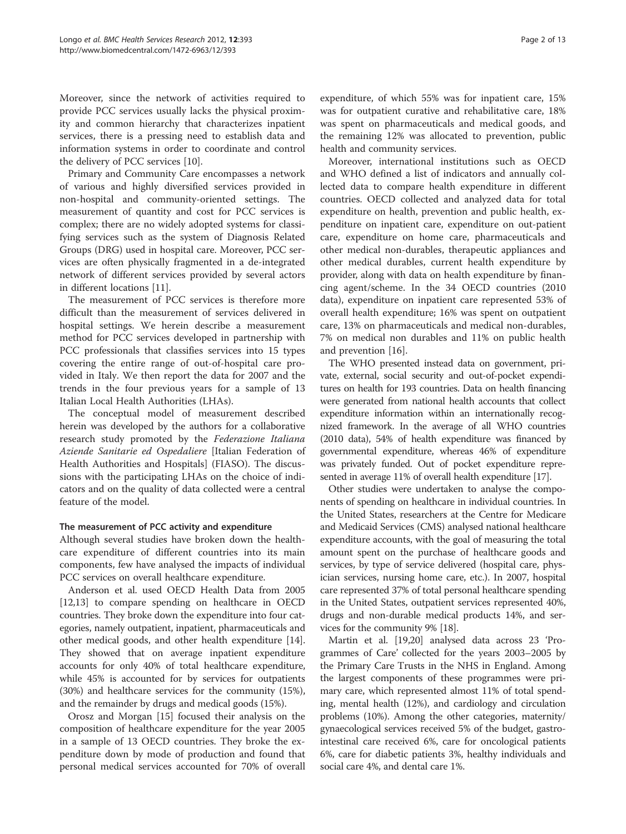Moreover, since the network of activities required to provide PCC services usually lacks the physical proximity and common hierarchy that characterizes inpatient services, there is a pressing need to establish data and information systems in order to coordinate and control the delivery of PCC services [[10\]](#page-11-0).

Primary and Community Care encompasses a network of various and highly diversified services provided in non-hospital and community-oriented settings. The measurement of quantity and cost for PCC services is complex; there are no widely adopted systems for classifying services such as the system of Diagnosis Related Groups (DRG) used in hospital care. Moreover, PCC services are often physically fragmented in a de-integrated network of different services provided by several actors in different locations [[11\]](#page-11-0).

The measurement of PCC services is therefore more difficult than the measurement of services delivered in hospital settings. We herein describe a measurement method for PCC services developed in partnership with PCC professionals that classifies services into 15 types covering the entire range of out-of-hospital care provided in Italy. We then report the data for 2007 and the trends in the four previous years for a sample of 13 Italian Local Health Authorities (LHAs).

The conceptual model of measurement described herein was developed by the authors for a collaborative research study promoted by the Federazione Italiana Aziende Sanitarie ed Ospedaliere [Italian Federation of Health Authorities and Hospitals] (FIASO). The discussions with the participating LHAs on the choice of indicators and on the quality of data collected were a central feature of the model.

#### The measurement of PCC activity and expenditure

Although several studies have broken down the healthcare expenditure of different countries into its main components, few have analysed the impacts of individual PCC services on overall healthcare expenditure.

Anderson et al. used OECD Health Data from 2005 [[12](#page-11-0),[13](#page-11-0)] to compare spending on healthcare in OECD countries. They broke down the expenditure into four categories, namely outpatient, inpatient, pharmaceuticals and other medical goods, and other health expenditure [[14](#page-11-0)]. They showed that on average inpatient expenditure accounts for only 40% of total healthcare expenditure, while 45% is accounted for by services for outpatients (30%) and healthcare services for the community (15%), and the remainder by drugs and medical goods (15%).

Orosz and Morgan [\[15](#page-11-0)] focused their analysis on the composition of healthcare expenditure for the year 2005 in a sample of 13 OECD countries. They broke the expenditure down by mode of production and found that personal medical services accounted for 70% of overall

expenditure, of which 55% was for inpatient care, 15% was for outpatient curative and rehabilitative care, 18% was spent on pharmaceuticals and medical goods, and the remaining 12% was allocated to prevention, public health and community services.

Moreover, international institutions such as OECD and WHO defined a list of indicators and annually collected data to compare health expenditure in different countries. OECD collected and analyzed data for total expenditure on health, prevention and public health, expenditure on inpatient care, expenditure on out-patient care, expenditure on home care, pharmaceuticals and other medical non-durables, therapeutic appliances and other medical durables, current health expenditure by provider, along with data on health expenditure by financing agent/scheme. In the 34 OECD countries (2010 data), expenditure on inpatient care represented 53% of overall health expenditure; 16% was spent on outpatient care, 13% on pharmaceuticals and medical non-durables, 7% on medical non durables and 11% on public health and prevention [[16\]](#page-11-0).

The WHO presented instead data on government, private, external, social security and out-of-pocket expenditures on health for 193 countries. Data on health financing were generated from national health accounts that collect expenditure information within an internationally recognized framework. In the average of all WHO countries (2010 data), 54% of health expenditure was financed by governmental expenditure, whereas 46% of expenditure was privately funded. Out of pocket expenditure represented in average 11% of overall health expenditure [[17\]](#page-12-0).

Other studies were undertaken to analyse the components of spending on healthcare in individual countries. In the United States, researchers at the Centre for Medicare and Medicaid Services (CMS) analysed national healthcare expenditure accounts, with the goal of measuring the total amount spent on the purchase of healthcare goods and services, by type of service delivered (hospital care, physician services, nursing home care, etc.). In 2007, hospital care represented 37% of total personal healthcare spending in the United States, outpatient services represented 40%, drugs and non-durable medical products 14%, and services for the community 9% [[18](#page-12-0)].

Martin et al. [[19,20\]](#page-12-0) analysed data across 23 'Programmes of Care' collected for the years 2003–2005 by the Primary Care Trusts in the NHS in England. Among the largest components of these programmes were primary care, which represented almost 11% of total spending, mental health (12%), and cardiology and circulation problems (10%). Among the other categories, maternity/ gynaecological services received 5% of the budget, gastrointestinal care received 6%, care for oncological patients 6%, care for diabetic patients 3%, healthy individuals and social care 4%, and dental care 1%.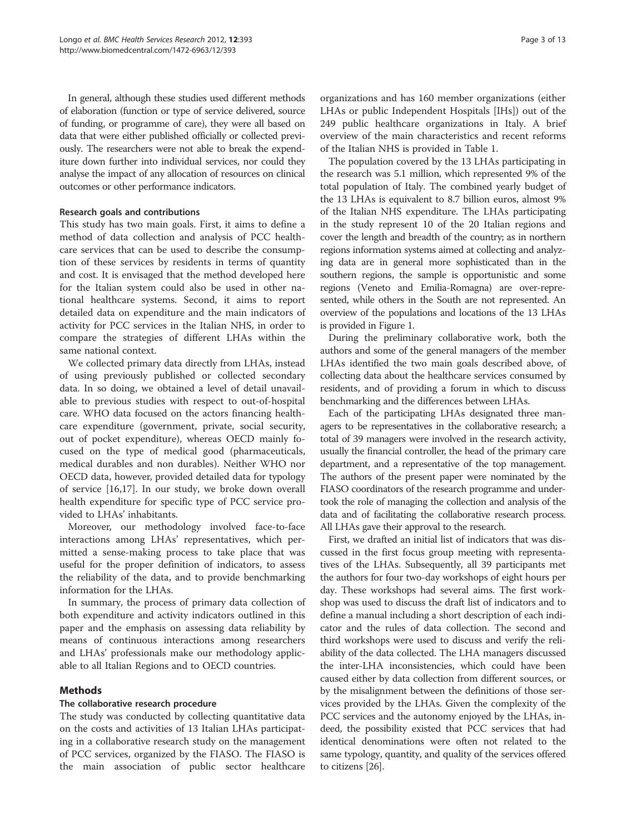In general, although these studies used different methods of elaboration (function or type of service delivered, source of funding, or programme of care), they were all based on data that were either published officially or collected previously. The researchers were not able to break the expenditure down further into individual services, nor could they analyse the impact of any allocation of resources on clinical outcomes or other performance indicators.

### Research goals and contributions

This study has two main goals. First, it aims to define a method of data collection and analysis of PCC healthcare services that can be used to describe the consumption of these services by residents in terms of quantity and cost. It is envisaged that the method developed here for the Italian system could also be used in other national healthcare systems. Second, it aims to report detailed data on expenditure and the main indicators of activity for PCC services in the Italian NHS, in order to compare the strategies of different LHAs within the same national context.

We collected primary data directly from LHAs, instead of using previously published or collected secondary data. In so doing, we obtained a level of detail unavailable to previous studies with respect to out-of-hospital care. WHO data focused on the actors financing healthcare expenditure (government, private, social security, out of pocket expenditure), whereas OECD mainly focused on the type of medical good (pharmaceuticals, medical durables and non durables). Neither WHO nor OECD data, however, provided detailed data for typology of service [[16,](#page-11-0)[17\]](#page-12-0). In our study, we broke down overall health expenditure for specific type of PCC service provided to LHAs' inhabitants.

Moreover, our methodology involved face-to-face interactions among LHAs' representatives, which permitted a sense-making process to take place that was useful for the proper definition of indicators, to assess the reliability of the data, and to provide benchmarking information for the LHAs.

In summary, the process of primary data collection of both expenditure and activity indicators outlined in this paper and the emphasis on assessing data reliability by means of continuous interactions among researchers and LHAs' professionals make our methodology applicable to all Italian Regions and to OECD countries.

## Methods

### The collaborative research procedure

The study was conducted by collecting quantitative data on the costs and activities of 13 Italian LHAs participating in a collaborative research study on the management of PCC services, organized by the FIASO. The FIASO is the main association of public sector healthcare

organizations and has 160 member organizations (either LHAs or public Independent Hospitals [IHs]) out of the 249 public healthcare organizations in Italy. A brief overview of the main characteristics and recent reforms of the Italian NHS is provided in Table [1](#page-3-0).

The population covered by the 13 LHAs participating in the research was 5.1 million, which represented 9% of the total population of Italy. The combined yearly budget of the 13 LHAs is equivalent to 8.7 billion euros, almost 9% of the Italian NHS expenditure. The LHAs participating in the study represent 10 of the 20 Italian regions and cover the length and breadth of the country; as in northern regions information systems aimed at collecting and analyzing data are in general more sophisticated than in the southern regions, the sample is opportunistic and some regions (Veneto and Emilia-Romagna) are over-represented, while others in the South are not represented. An overview of the populations and locations of the 13 LHAs is provided in Figure [1.](#page-3-0)

During the preliminary collaborative work, both the authors and some of the general managers of the member LHAs identified the two main goals described above, of collecting data about the healthcare services consumed by residents, and of providing a forum in which to discuss benchmarking and the differences between LHAs.

Each of the participating LHAs designated three managers to be representatives in the collaborative research; a total of 39 managers were involved in the research activity, usually the financial controller, the head of the primary care department, and a representative of the top management. The authors of the present paper were nominated by the FIASO coordinators of the research programme and undertook the role of managing the collection and analysis of the data and of facilitating the collaborative research process. All LHAs gave their approval to the research.

First, we drafted an initial list of indicators that was discussed in the first focus group meeting with representatives of the LHAs. Subsequently, all 39 participants met the authors for four two-day workshops of eight hours per day. These workshops had several aims. The first workshop was used to discuss the draft list of indicators and to define a manual including a short description of each indicator and the rules of data collection. The second and third workshops were used to discuss and verify the reliability of the data collected. The LHA managers discussed the inter-LHA inconsistencies, which could have been caused either by data collection from different sources, or by the misalignment between the definitions of those services provided by the LHAs. Given the complexity of the PCC services and the autonomy enjoyed by the LHAs, indeed, the possibility existed that PCC services that had identical denominations were often not related to the same typology, quantity, and quality of the services offered to citizens [\[26\]](#page-12-0).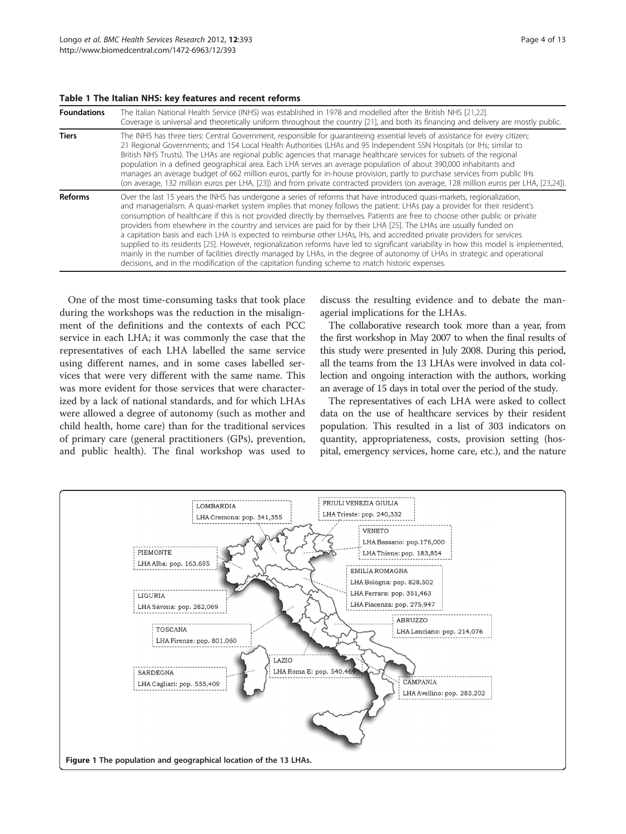<span id="page-3-0"></span>

| Table 1 The Italian NHS: key features and recent reforms |  |
|----------------------------------------------------------|--|
|----------------------------------------------------------|--|

| <b>Foundations</b> | The Italian National Health Service (INHS) was established in 1978 and modelled after the British NHS [21,22].<br>Coverage is universal and theoretically uniform throughout the country [21], and both its financing and delivery are mostly public.                                                                                                                                                                                                                                                                                                                                                                                                                                                                                                                                                                                                                                                                                                                                                              |
|--------------------|--------------------------------------------------------------------------------------------------------------------------------------------------------------------------------------------------------------------------------------------------------------------------------------------------------------------------------------------------------------------------------------------------------------------------------------------------------------------------------------------------------------------------------------------------------------------------------------------------------------------------------------------------------------------------------------------------------------------------------------------------------------------------------------------------------------------------------------------------------------------------------------------------------------------------------------------------------------------------------------------------------------------|
| <b>Tiers</b>       | The INHS has three tiers: Central Government, responsible for quaranteeing essential levels of assistance for every citizen;<br>21 Regional Governments; and 154 Local Health Authorities (LHAs and 95 Independent SSN Hospitals (or IHs; similar to<br>British NHS Trusts). The LHAs are regional public agencies that manage healthcare services for subsets of the regional<br>population in a defined geographical area. Each LHA serves an average population of about 390,000 inhabitants and<br>manages an average budget of 662 million euros, partly for in-house provision, partly to purchase services from public IHs<br>(on average, 132 million euros per LHA, [23]) and from private contracted providers (on average, 128 million euros per LHA, [23,24]).                                                                                                                                                                                                                                         |
| <b>Reforms</b>     | Over the last 15 years the INHS has undergone a series of reforms that have introduced quasi-markets, regionalization,<br>and managerialism. A quasi-market system implies that money follows the patient: LHAs pay a provider for their resident's<br>consumption of healthcare if this is not provided directly by themselves. Patients are free to choose other public or private<br>providers from elsewhere in the country and services are paid for by their LHA [25]. The LHAs are usually funded on<br>a capitation basis and each LHA is expected to reimburse other LHAs, lHs, and accredited private providers for services<br>supplied to its residents [25]. However, regionalization reforms have led to significant variability in how this model is implemented,<br>mainly in the number of facilities directly managed by LHAs, in the degree of autonomy of LHAs in strategic and operational<br>decisions, and in the modification of the capitation funding scheme to match historic expenses. |

One of the most time-consuming tasks that took place during the workshops was the reduction in the misalignment of the definitions and the contexts of each PCC service in each LHA; it was commonly the case that the representatives of each LHA labelled the same service using different names, and in some cases labelled services that were very different with the same name. This was more evident for those services that were characterized by a lack of national standards, and for which LHAs were allowed a degree of autonomy (such as mother and child health, home care) than for the traditional services of primary care (general practitioners (GPs), prevention, and public health). The final workshop was used to

discuss the resulting evidence and to debate the managerial implications for the LHAs.

The collaborative research took more than a year, from the first workshop in May 2007 to when the final results of this study were presented in July 2008. During this period, all the teams from the 13 LHAs were involved in data collection and ongoing interaction with the authors, working an average of 15 days in total over the period of the study.

The representatives of each LHA were asked to collect data on the use of healthcare services by their resident population. This resulted in a list of 303 indicators on quantity, appropriateness, costs, provision setting (hospital, emergency services, home care, etc.), and the nature

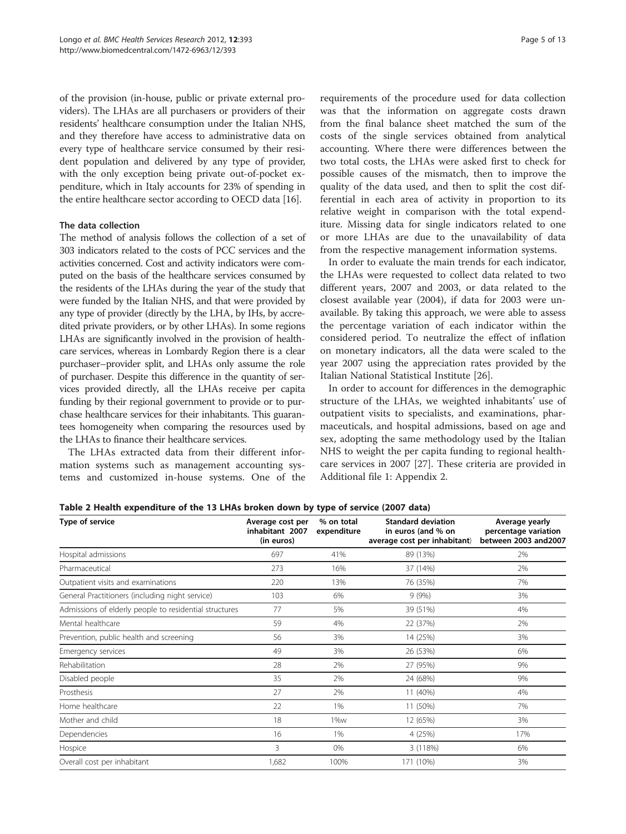<span id="page-4-0"></span>of the provision (in-house, public or private external providers). The LHAs are all purchasers or providers of their residents' healthcare consumption under the Italian NHS, and they therefore have access to administrative data on every type of healthcare service consumed by their resident population and delivered by any type of provider, with the only exception being private out-of-pocket expenditure, which in Italy accounts for 23% of spending in the entire healthcare sector according to OECD data [\[16\]](#page-11-0).

## The data collection

The method of analysis follows the collection of a set of 303 indicators related to the costs of PCC services and the activities concerned. Cost and activity indicators were computed on the basis of the healthcare services consumed by the residents of the LHAs during the year of the study that were funded by the Italian NHS, and that were provided by any type of provider (directly by the LHA, by IHs, by accredited private providers, or by other LHAs). In some regions LHAs are significantly involved in the provision of healthcare services, whereas in Lombardy Region there is a clear purchaser–provider split, and LHAs only assume the role of purchaser. Despite this difference in the quantity of services provided directly, all the LHAs receive per capita funding by their regional government to provide or to purchase healthcare services for their inhabitants. This guarantees homogeneity when comparing the resources used by the LHAs to finance their healthcare services.

The LHAs extracted data from their different information systems such as management accounting systems and customized in-house systems. One of the

requirements of the procedure used for data collection was that the information on aggregate costs drawn from the final balance sheet matched the sum of the costs of the single services obtained from analytical accounting. Where there were differences between the two total costs, the LHAs were asked first to check for possible causes of the mismatch, then to improve the quality of the data used, and then to split the cost dif-

ferential in each area of activity in proportion to its relative weight in comparison with the total expenditure. Missing data for single indicators related to one or more LHAs are due to the unavailability of data from the respective management information systems.

In order to evaluate the main trends for each indicator, the LHAs were requested to collect data related to two different years, 2007 and 2003, or data related to the closest available year (2004), if data for 2003 were unavailable. By taking this approach, we were able to assess the percentage variation of each indicator within the considered period. To neutralize the effect of inflation on monetary indicators, all the data were scaled to the year 2007 using the appreciation rates provided by the Italian National Statistical Institute [[26\]](#page-12-0).

In order to account for differences in the demographic structure of the LHAs, we weighted inhabitants' use of outpatient visits to specialists, and examinations, pharmaceuticals, and hospital admissions, based on age and sex, adopting the same methodology used by the Italian NHS to weight the per capita funding to regional healthcare services in 2007 [\[27](#page-12-0)]. These criteria are provided in Additional file [1](#page-11-0): Appendix 2.

Table 2 Health expenditure of the 13 LHAs broken down by type of service (2007 data)

| Type of service                                        | Average cost per<br>inhabitant 2007<br>(in euros) | % on total<br>expenditure | <b>Standard deviation</b><br>in euros (and % on<br>average cost per inhabitant) | Average yearly<br>percentage variation<br>between 2003 and 2007 |
|--------------------------------------------------------|---------------------------------------------------|---------------------------|---------------------------------------------------------------------------------|-----------------------------------------------------------------|
| Hospital admissions                                    | 697                                               | 41%                       | 89 (13%)                                                                        | 2%                                                              |
| Pharmaceutical                                         | 273                                               | 16%                       | 37 (14%)                                                                        | 2%                                                              |
| Outpatient visits and examinations                     | 220                                               | 13%                       | 76 (35%)                                                                        | 7%                                                              |
| General Practitioners (including night service)        | 103                                               | 6%                        | 9(9%)                                                                           | 3%                                                              |
| Admissions of elderly people to residential structures | 77                                                | 5%                        | 39 (51%)                                                                        | 4%                                                              |
| Mental healthcare                                      | 59                                                | 4%                        | 22 (37%)                                                                        | 2%                                                              |
| Prevention, public health and screening                | 56                                                | 3%                        | 14 (25%)                                                                        | 3%                                                              |
| Emergency services                                     | 49                                                | 3%                        | 26 (53%)                                                                        | 6%                                                              |
| Rehabilitation                                         | 28                                                | 2%                        | 27 (95%)                                                                        | 9%                                                              |
| Disabled people                                        | 35                                                | 2%                        | 24 (68%)                                                                        | 9%                                                              |
| Prosthesis                                             | 27                                                | 2%                        | 11 (40%)                                                                        | 4%                                                              |
| Home healthcare                                        | 22                                                | 1%                        | 11 (50%)                                                                        | 7%                                                              |
| Mother and child                                       | 18                                                | 1%w                       | 12 (65%)                                                                        | 3%                                                              |
| Dependencies                                           | 16                                                | 1%                        | 4 (25%)                                                                         | 17%                                                             |
| Hospice                                                | 3                                                 | 0%                        | 3 (118%)                                                                        | 6%                                                              |
| Overall cost per inhabitant                            | 1,682                                             | 100%                      | 171 (10%)                                                                       | 3%                                                              |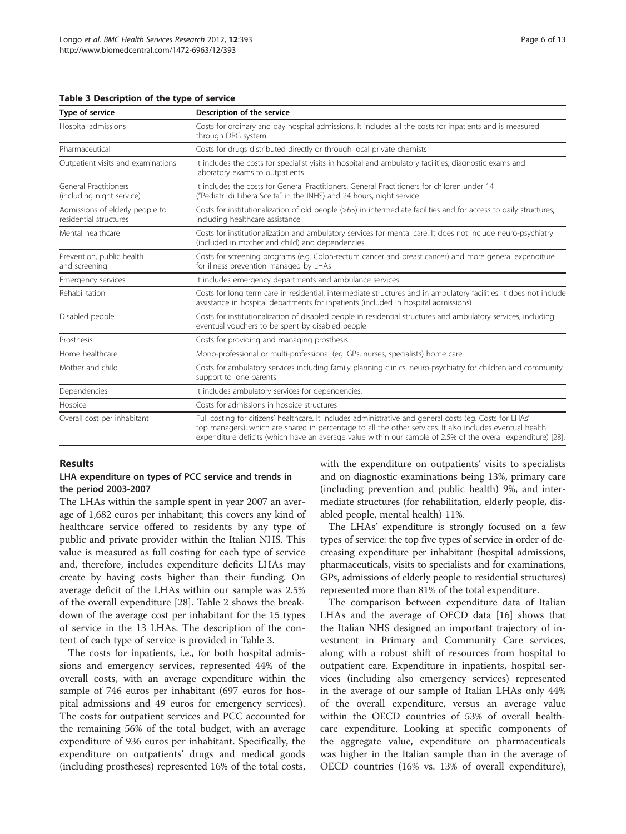Table 3 Description of the type of service

| Type of service                                           | Description of the service                                                                                                                                                                                                                                                                                                             |
|-----------------------------------------------------------|----------------------------------------------------------------------------------------------------------------------------------------------------------------------------------------------------------------------------------------------------------------------------------------------------------------------------------------|
| Hospital admissions                                       | Costs for ordinary and day hospital admissions. It includes all the costs for inpatients and is measured<br>through DRG system                                                                                                                                                                                                         |
| Pharmaceutical                                            | Costs for drugs distributed directly or through local private chemists                                                                                                                                                                                                                                                                 |
| Outpatient visits and examinations                        | It includes the costs for specialist visits in hospital and ambulatory facilities, diagnostic exams and<br>laboratory exams to outpatients                                                                                                                                                                                             |
| <b>General Practitioners</b><br>(including night service) | It includes the costs for General Practitioners, General Practitioners for children under 14<br>("Pediatri di Libera Scelta" in the INHS) and 24 hours, night service                                                                                                                                                                  |
| Admissions of elderly people to<br>residential structures | Costs for institutionalization of old people (>65) in intermediate facilities and for access to daily structures,<br>including healthcare assistance                                                                                                                                                                                   |
| Mental healthcare                                         | Costs for institutionalization and ambulatory services for mental care. It does not include neuro-psychiatry<br>(included in mother and child) and dependencies                                                                                                                                                                        |
| Prevention, public health<br>and screening                | Costs for screening programs (e.g. Colon-rectum cancer and breast cancer) and more general expenditure<br>for illness prevention managed by LHAs                                                                                                                                                                                       |
| Emergency services                                        | It includes emergency departments and ambulance services                                                                                                                                                                                                                                                                               |
| Rehabilitation                                            | Costs for long term care in residential, intermediate structures and in ambulatory facilities. It does not include<br>assistance in hospital departments for inpatients (included in hospital admissions)                                                                                                                              |
| Disabled people                                           | Costs for institutionalization of disabled people in residential structures and ambulatory services, including<br>eventual vouchers to be spent by disabled people                                                                                                                                                                     |
| Prosthesis                                                | Costs for providing and managing prosthesis                                                                                                                                                                                                                                                                                            |
| Home healthcare                                           | Mono-professional or multi-professional (eq. GPs, nurses, specialists) home care                                                                                                                                                                                                                                                       |
| Mother and child                                          | Costs for ambulatory services including family planning clinics, neuro-psychiatry for children and community<br>support to lone parents                                                                                                                                                                                                |
| Dependencies                                              | It includes ambulatory services for dependencies.                                                                                                                                                                                                                                                                                      |
| Hospice                                                   | Costs for admissions in hospice structures                                                                                                                                                                                                                                                                                             |
| Overall cost per inhabitant                               | Full costing for citizens' healthcare. It includes administrative and general costs (eg. Costs for LHAs'<br>top managers), which are shared in percentage to all the other services. It also includes eventual health<br>expenditure deficits (which have an average value within our sample of 2.5% of the overall expenditure) [28]. |

#### Results

## LHA expenditure on types of PCC service and trends in the period 2003-2007

The LHAs within the sample spent in year 2007 an average of 1,682 euros per inhabitant; this covers any kind of healthcare service offered to residents by any type of public and private provider within the Italian NHS. This value is measured as full costing for each type of service and, therefore, includes expenditure deficits LHAs may create by having costs higher than their funding. On average deficit of the LHAs within our sample was 2.5% of the overall expenditure [\[28\]](#page-12-0). Table [2](#page-4-0) shows the breakdown of the average cost per inhabitant for the 15 types of service in the 13 LHAs. The description of the content of each type of service is provided in Table 3.

The costs for inpatients, i.e., for both hospital admissions and emergency services, represented 44% of the overall costs, with an average expenditure within the sample of 746 euros per inhabitant (697 euros for hospital admissions and 49 euros for emergency services). The costs for outpatient services and PCC accounted for the remaining 56% of the total budget, with an average expenditure of 936 euros per inhabitant. Specifically, the expenditure on outpatients' drugs and medical goods (including prostheses) represented 16% of the total costs, with the expenditure on outpatients' visits to specialists and on diagnostic examinations being 13%, primary care (including prevention and public health) 9%, and intermediate structures (for rehabilitation, elderly people, disabled people, mental health) 11%.

The LHAs' expenditure is strongly focused on a few types of service: the top five types of service in order of decreasing expenditure per inhabitant (hospital admissions, pharmaceuticals, visits to specialists and for examinations, GPs, admissions of elderly people to residential structures) represented more than 81% of the total expenditure.

The comparison between expenditure data of Italian LHAs and the average of OECD data [\[16](#page-11-0)] shows that the Italian NHS designed an important trajectory of investment in Primary and Community Care services, along with a robust shift of resources from hospital to outpatient care. Expenditure in inpatients, hospital services (including also emergency services) represented in the average of our sample of Italian LHAs only 44% of the overall expenditure, versus an average value within the OECD countries of 53% of overall healthcare expenditure. Looking at specific components of the aggregate value, expenditure on pharmaceuticals was higher in the Italian sample than in the average of OECD countries (16% vs. 13% of overall expenditure),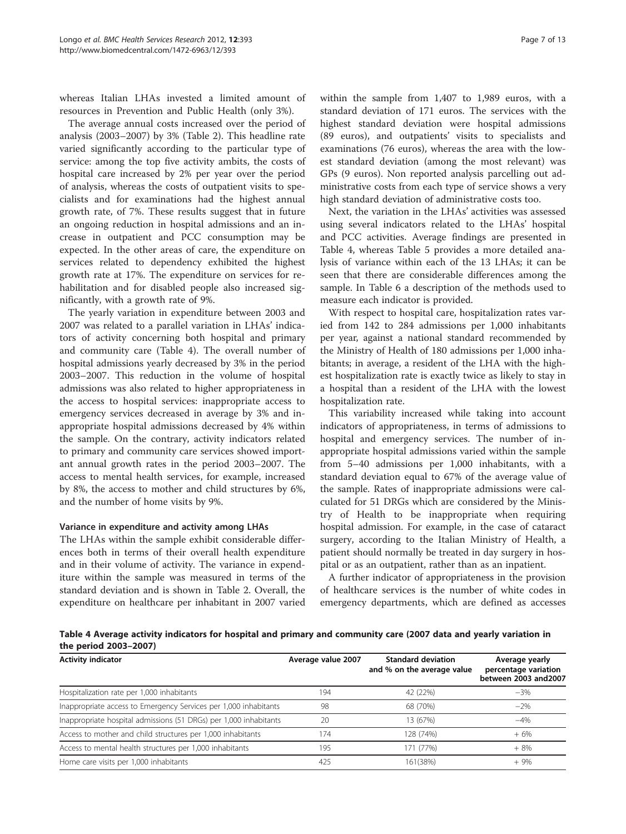whereas Italian LHAs invested a limited amount of resources in Prevention and Public Health (only 3%).

The average annual costs increased over the period of analysis (2003–2007) by 3% (Table [2](#page-4-0)). This headline rate varied significantly according to the particular type of service: among the top five activity ambits, the costs of hospital care increased by 2% per year over the period of analysis, whereas the costs of outpatient visits to specialists and for examinations had the highest annual growth rate, of 7%. These results suggest that in future an ongoing reduction in hospital admissions and an increase in outpatient and PCC consumption may be expected. In the other areas of care, the expenditure on services related to dependency exhibited the highest growth rate at 17%. The expenditure on services for rehabilitation and for disabled people also increased significantly, with a growth rate of 9%.

The yearly variation in expenditure between 2003 and 2007 was related to a parallel variation in LHAs' indicators of activity concerning both hospital and primary and community care (Table 4). The overall number of hospital admissions yearly decreased by 3% in the period 2003–2007. This reduction in the volume of hospital admissions was also related to higher appropriateness in the access to hospital services: inappropriate access to emergency services decreased in average by 3% and inappropriate hospital admissions decreased by 4% within the sample. On the contrary, activity indicators related to primary and community care services showed important annual growth rates in the period 2003–2007. The access to mental health services, for example, increased by 8%, the access to mother and child structures by 6%, and the number of home visits by 9%.

#### Variance in expenditure and activity among LHAs

The LHAs within the sample exhibit considerable differences both in terms of their overall health expenditure and in their volume of activity. The variance in expenditure within the sample was measured in terms of the standard deviation and is shown in Table [2.](#page-4-0) Overall, the expenditure on healthcare per inhabitant in 2007 varied within the sample from 1,407 to 1,989 euros, with a standard deviation of 171 euros. The services with the highest standard deviation were hospital admissions (89 euros), and outpatients' visits to specialists and examinations (76 euros), whereas the area with the lowest standard deviation (among the most relevant) was GPs (9 euros). Non reported analysis parcelling out administrative costs from each type of service shows a very high standard deviation of administrative costs too.

Next, the variation in the LHAs' activities was assessed using several indicators related to the LHAs' hospital and PCC activities. Average findings are presented in Table 4, whereas Table [5](#page-7-0) provides a more detailed analysis of variance within each of the 13 LHAs; it can be seen that there are considerable differences among the sample. In Table [6](#page-7-0) a description of the methods used to measure each indicator is provided.

With respect to hospital care, hospitalization rates varied from 142 to 284 admissions per 1,000 inhabitants per year, against a national standard recommended by the Ministry of Health of 180 admissions per 1,000 inhabitants; in average, a resident of the LHA with the highest hospitalization rate is exactly twice as likely to stay in a hospital than a resident of the LHA with the lowest hospitalization rate.

This variability increased while taking into account indicators of appropriateness, in terms of admissions to hospital and emergency services. The number of inappropriate hospital admissions varied within the sample from 5–40 admissions per 1,000 inhabitants, with a standard deviation equal to 67% of the average value of the sample. Rates of inappropriate admissions were calculated for 51 DRGs which are considered by the Ministry of Health to be inappropriate when requiring hospital admission. For example, in the case of cataract surgery, according to the Italian Ministry of Health, a patient should normally be treated in day surgery in hospital or as an outpatient, rather than as an inpatient.

A further indicator of appropriateness in the provision of healthcare services is the number of white codes in emergency departments, which are defined as accesses

Table 4 Average activity indicators for hospital and primary and community care (2007 data and yearly variation in the period 2003–2007)

| <b>Activity indicator</b>                                         | Average value 2007 | <b>Standard deviation</b><br>and % on the average value | Average yearly<br>percentage variation<br>between 2003 and 2007 |
|-------------------------------------------------------------------|--------------------|---------------------------------------------------------|-----------------------------------------------------------------|
| Hospitalization rate per 1,000 inhabitants                        | 194                | 42 (22%)                                                | $-3\%$                                                          |
| Inappropriate access to Emergency Services per 1,000 inhabitants  | 98                 | 68 (70%)                                                | $-2%$                                                           |
| Inappropriate hospital admissions (51 DRGs) per 1,000 inhabitants | 20                 | 13 (67%)                                                | $-4%$                                                           |
| Access to mother and child structures per 1,000 inhabitants       | 174                | 128 (74%)                                               | $+6%$                                                           |
| Access to mental health structures per 1,000 inhabitants          | 195                | 171 (77%)                                               | $+8%$                                                           |
| Home care visits per 1,000 inhabitants                            | 425                | 161(38%)                                                | $+9%$                                                           |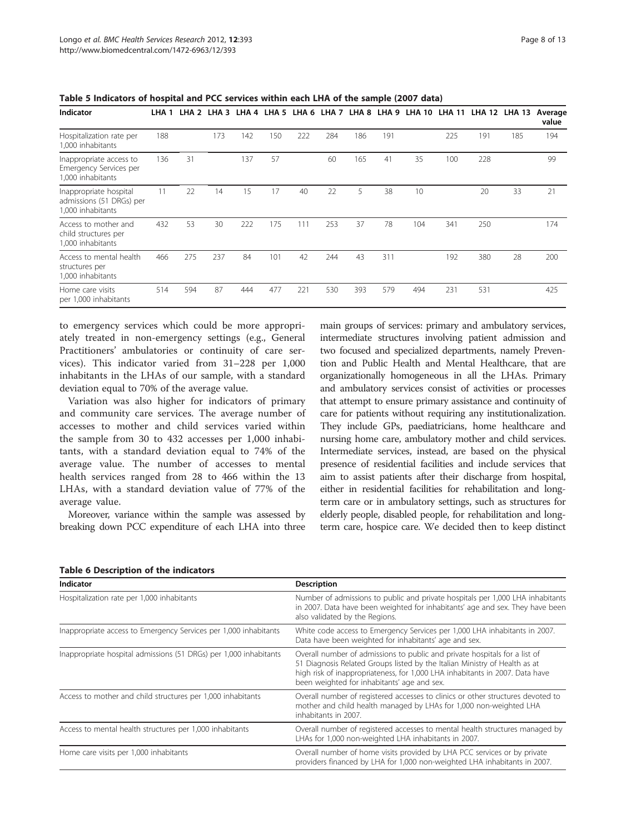| Indicator                                                                     | LHA 1 |     | LHA 2 LHA 3 | LHA 4 | LHA 5 | LHA 6 | LHA 7 |     |     |     |     | LHA 8 LHA 9 LHA 10 LHA 11 LHA 12 LHA 13 |     | Average<br>value |
|-------------------------------------------------------------------------------|-------|-----|-------------|-------|-------|-------|-------|-----|-----|-----|-----|-----------------------------------------|-----|------------------|
| Hospitalization rate per<br>1,000 inhabitants                                 | 188   |     | 173         | 142   | 150   | 222   | 284   | 186 | 191 |     | 225 | 191                                     | 185 | 194              |
| Inappropriate access to<br><b>Emergency Services per</b><br>1,000 inhabitants | 136   | 31  |             | 137   | 57    |       | 60    | 165 | 41  | 35  | 100 | 228                                     |     | 99               |
| Inappropriate hospital<br>admissions (51 DRGs) per<br>1,000 inhabitants       | 11    | 22  | 14          | 15    | 17    | 40    | 22    | 5   | 38  | 10  |     | 20                                      | 33  | 21               |
| Access to mother and<br>child structures per<br>1,000 inhabitants             | 432   | 53  | 30          | 222   | 175   | 111   | 253   | 37  | 78  | 104 | 341 | 250                                     |     | 174              |
| Access to mental health<br>structures per<br>1,000 inhabitants                | 466   | 275 | 237         | 84    | 101   | 42    | 244   | 43  | 311 |     | 192 | 380                                     | 28  | 200              |
| Home care visits<br>per 1,000 inhabitants                                     | 514   | 594 | 87          | 444   | 477   | 221   | 530   | 393 | 579 | 494 | 231 | 531                                     |     | 425              |

<span id="page-7-0"></span>Table 5 Indicators of hospital and PCC services within each LHA of the sample (2007 data)

to emergency services which could be more appropriately treated in non-emergency settings (e.g., General Practitioners' ambulatories or continuity of care services). This indicator varied from 31–228 per 1,000 inhabitants in the LHAs of our sample, with a standard deviation equal to 70% of the average value.

Variation was also higher for indicators of primary and community care services. The average number of accesses to mother and child services varied within the sample from 30 to 432 accesses per 1,000 inhabitants, with a standard deviation equal to 74% of the average value. The number of accesses to mental health services ranged from 28 to 466 within the 13 LHAs, with a standard deviation value of 77% of the average value.

Moreover, variance within the sample was assessed by breaking down PCC expenditure of each LHA into three

main groups of services: primary and ambulatory services, intermediate structures involving patient admission and two focused and specialized departments, namely Prevention and Public Health and Mental Healthcare, that are organizationally homogeneous in all the LHAs. Primary and ambulatory services consist of activities or processes that attempt to ensure primary assistance and continuity of care for patients without requiring any institutionalization. They include GPs, paediatricians, home healthcare and nursing home care, ambulatory mother and child services. Intermediate services, instead, are based on the physical presence of residential facilities and include services that aim to assist patients after their discharge from hospital, either in residential facilities for rehabilitation and longterm care or in ambulatory settings, such as structures for elderly people, disabled people, for rehabilitation and longterm care, hospice care. We decided then to keep distinct

| Indicator                                                         | <b>Description</b>                                                                                                                                                                                                                                                                      |
|-------------------------------------------------------------------|-----------------------------------------------------------------------------------------------------------------------------------------------------------------------------------------------------------------------------------------------------------------------------------------|
| Hospitalization rate per 1,000 inhabitants                        | Number of admissions to public and private hospitals per 1,000 LHA inhabitants<br>in 2007. Data have been weighted for inhabitants' age and sex. They have been<br>also validated by the Regions.                                                                                       |
| Inappropriate access to Emergency Services per 1,000 inhabitants  | White code access to Emergency Services per 1,000 LHA inhabitants in 2007.<br>Data have been weighted for inhabitants' age and sex.                                                                                                                                                     |
| Inappropriate hospital admissions (51 DRGs) per 1,000 inhabitants | Overall number of admissions to public and private hospitals for a list of<br>51 Diagnosis Related Groups listed by the Italian Ministry of Health as at<br>high risk of inappropriateness, for 1,000 LHA inhabitants in 2007. Data have<br>been weighted for inhabitants' age and sex. |
| Access to mother and child structures per 1,000 inhabitants       | Overall number of registered accesses to clinics or other structures devoted to<br>mother and child health managed by LHAs for 1,000 non-weighted LHA<br>inhabitants in 2007.                                                                                                           |
| Access to mental health structures per 1,000 inhabitants          | Overall number of registered accesses to mental health structures managed by<br>LHAs for 1,000 non-weighted LHA inhabitants in 2007.                                                                                                                                                    |
| Home care visits per 1,000 inhabitants                            | Overall number of home visits provided by LHA PCC services or by private<br>providers financed by LHA for 1,000 non-weighted LHA inhabitants in 2007.                                                                                                                                   |

#### Table 6 Description of the indicators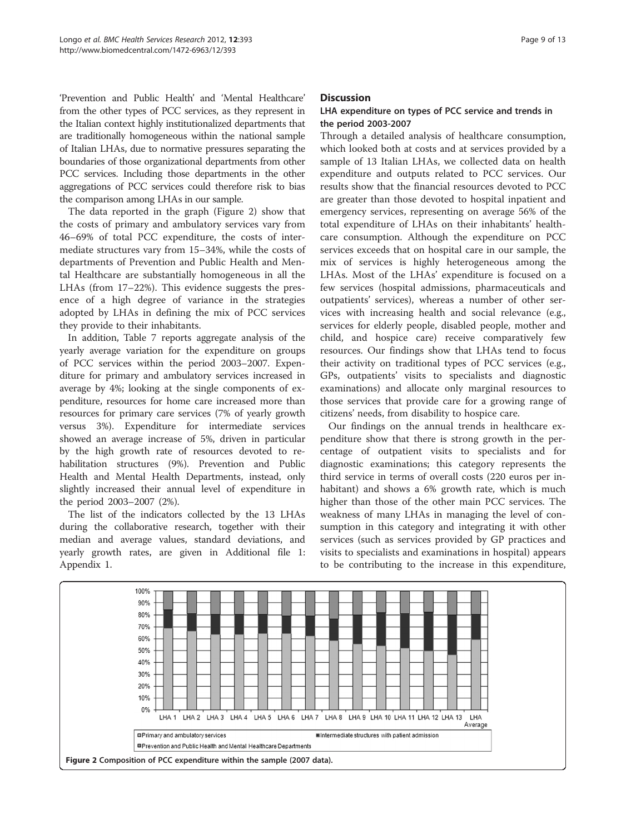'Prevention and Public Health' and 'Mental Healthcare' from the other types of PCC services, as they represent in the Italian context highly institutionalized departments that are traditionally homogeneous within the national sample of Italian LHAs, due to normative pressures separating the boundaries of those organizational departments from other PCC services. Including those departments in the other aggregations of PCC services could therefore risk to bias the comparison among LHAs in our sample.

The data reported in the graph (Figure 2) show that the costs of primary and ambulatory services vary from 46–69% of total PCC expenditure, the costs of intermediate structures vary from 15–34%, while the costs of departments of Prevention and Public Health and Mental Healthcare are substantially homogeneous in all the LHAs (from 17–22%). This evidence suggests the presence of a high degree of variance in the strategies adopted by LHAs in defining the mix of PCC services they provide to their inhabitants.

In addition, Table [7](#page-9-0) reports aggregate analysis of the yearly average variation for the expenditure on groups of PCC services within the period 2003–2007. Expenditure for primary and ambulatory services increased in average by 4%; looking at the single components of expenditure, resources for home care increased more than resources for primary care services (7% of yearly growth versus 3%). Expenditure for intermediate services showed an average increase of 5%, driven in particular by the high growth rate of resources devoted to rehabilitation structures (9%). Prevention and Public Health and Mental Health Departments, instead, only slightly increased their annual level of expenditure in the period 2003–2007 (2%).

The list of the indicators collected by the 13 LHAs during the collaborative research, together with their median and average values, standard deviations, and yearly growth rates, are given in Additional file [1](#page-11-0): Appendix 1.

## Discussion

## LHA expenditure on types of PCC service and trends in the period 2003-2007

Through a detailed analysis of healthcare consumption, which looked both at costs and at services provided by a sample of 13 Italian LHAs, we collected data on health expenditure and outputs related to PCC services. Our results show that the financial resources devoted to PCC are greater than those devoted to hospital inpatient and emergency services, representing on average 56% of the total expenditure of LHAs on their inhabitants' healthcare consumption. Although the expenditure on PCC services exceeds that on hospital care in our sample, the mix of services is highly heterogeneous among the LHAs. Most of the LHAs' expenditure is focused on a few services (hospital admissions, pharmaceuticals and outpatients' services), whereas a number of other services with increasing health and social relevance (e.g., services for elderly people, disabled people, mother and child, and hospice care) receive comparatively few resources. Our findings show that LHAs tend to focus their activity on traditional types of PCC services (e.g., GPs, outpatients' visits to specialists and diagnostic examinations) and allocate only marginal resources to those services that provide care for a growing range of citizens' needs, from disability to hospice care.

Our findings on the annual trends in healthcare expenditure show that there is strong growth in the percentage of outpatient visits to specialists and for diagnostic examinations; this category represents the third service in terms of overall costs (220 euros per inhabitant) and shows a 6% growth rate, which is much higher than those of the other main PCC services. The weakness of many LHAs in managing the level of consumption in this category and integrating it with other services (such as services provided by GP practices and visits to specialists and examinations in hospital) appears to be contributing to the increase in this expenditure,

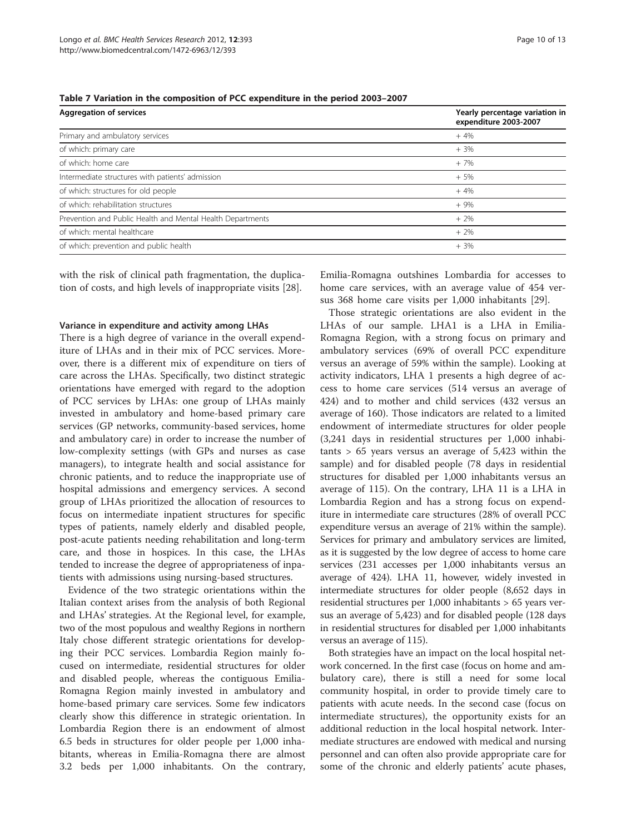<span id="page-9-0"></span>

| <b>Aggregation of services</b>  | Yearly percentage variation in<br>expenditure 2003-2007 |
|---------------------------------|---------------------------------------------------------|
| Primary and ambulatory services | $+4%$                                                   |
| of which: primary care          | $+3%$                                                   |
| of which: home care             | $+7%$                                                   |

**Table 7 Variation** 

Intermediate structures with patients' admission  $+5%$ of which: structures for old people  $+4\%$ of which: rehabilitation structures + 9% Prevention and Public Health and Mental Health Departments + 2% + 2% of which: mental healthcare + 2%

with the risk of clinical path fragmentation, the duplicaof which: prevention and public health + 3%

tion of costs, and high levels of inappropriate visits [[28\]](#page-12-0).

### Variance in expenditure and activity among LHAs

There is a high degree of variance in the overall expenditure of LHAs and in their mix of PCC services. Moreover, there is a different mix of expenditure on tiers of care across the LHAs. Specifically, two distinct strategic orientations have emerged with regard to the adoption of PCC services by LHAs: one group of LHAs mainly invested in ambulatory and home-based primary care services (GP networks, community-based services, home and ambulatory care) in order to increase the number of low-complexity settings (with GPs and nurses as case managers), to integrate health and social assistance for chronic patients, and to reduce the inappropriate use of hospital admissions and emergency services. A second group of LHAs prioritized the allocation of resources to focus on intermediate inpatient structures for specific types of patients, namely elderly and disabled people, post-acute patients needing rehabilitation and long-term care, and those in hospices. In this case, the LHAs tended to increase the degree of appropriateness of inpatients with admissions using nursing-based structures.

Evidence of the two strategic orientations within the Italian context arises from the analysis of both Regional and LHAs' strategies. At the Regional level, for example, two of the most populous and wealthy Regions in northern Italy chose different strategic orientations for developing their PCC services. Lombardia Region mainly focused on intermediate, residential structures for older and disabled people, whereas the contiguous Emilia-Romagna Region mainly invested in ambulatory and home-based primary care services. Some few indicators clearly show this difference in strategic orientation. In Lombardia Region there is an endowment of almost 6.5 beds in structures for older people per 1,000 inhabitants, whereas in Emilia-Romagna there are almost 3.2 beds per 1,000 inhabitants. On the contrary,

Emilia-Romagna outshines Lombardia for accesses to home care services, with an average value of 454 versus 368 home care visits per 1,000 inhabitants [\[29](#page-12-0)].

Those strategic orientations are also evident in the LHAs of our sample. LHA1 is a LHA in Emilia-Romagna Region, with a strong focus on primary and ambulatory services (69% of overall PCC expenditure versus an average of 59% within the sample). Looking at activity indicators, LHA 1 presents a high degree of access to home care services (514 versus an average of 424) and to mother and child services (432 versus an average of 160). Those indicators are related to a limited endowment of intermediate structures for older people (3,241 days in residential structures per 1,000 inhabitants > 65 years versus an average of 5,423 within the sample) and for disabled people (78 days in residential structures for disabled per 1,000 inhabitants versus an average of 115). On the contrary, LHA 11 is a LHA in Lombardia Region and has a strong focus on expenditure in intermediate care structures (28% of overall PCC expenditure versus an average of 21% within the sample). Services for primary and ambulatory services are limited, as it is suggested by the low degree of access to home care services (231 accesses per 1,000 inhabitants versus an average of 424). LHA 11, however, widely invested in intermediate structures for older people (8,652 days in residential structures per 1,000 inhabitants > 65 years versus an average of 5,423) and for disabled people (128 days in residential structures for disabled per 1,000 inhabitants versus an average of 115).

Both strategies have an impact on the local hospital network concerned. In the first case (focus on home and ambulatory care), there is still a need for some local community hospital, in order to provide timely care to patients with acute needs. In the second case (focus on intermediate structures), the opportunity exists for an additional reduction in the local hospital network. Intermediate structures are endowed with medical and nursing personnel and can often also provide appropriate care for some of the chronic and elderly patients' acute phases,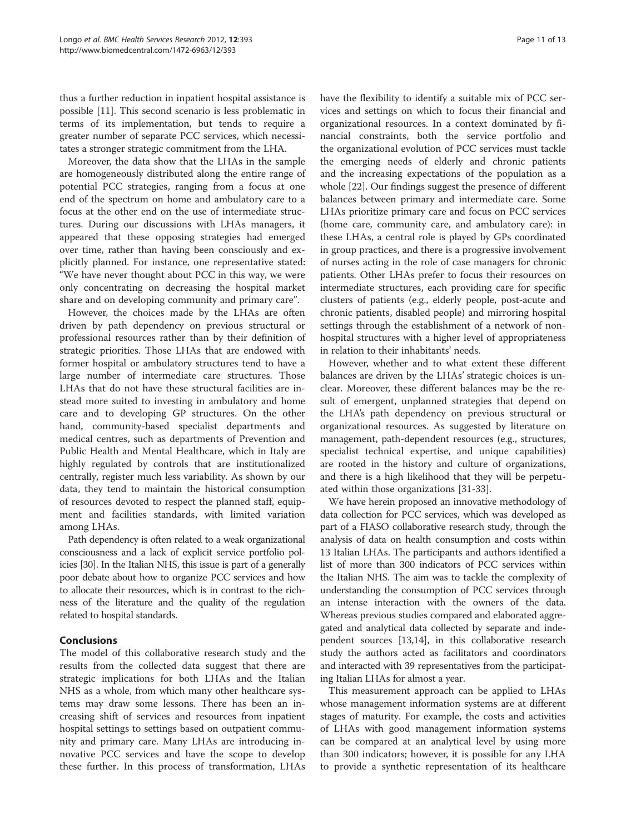thus a further reduction in inpatient hospital assistance is possible [\[11](#page-11-0)]. This second scenario is less problematic in terms of its implementation, but tends to require a greater number of separate PCC services, which necessitates a stronger strategic commitment from the LHA.

Moreover, the data show that the LHAs in the sample are homogeneously distributed along the entire range of potential PCC strategies, ranging from a focus at one end of the spectrum on home and ambulatory care to a focus at the other end on the use of intermediate structures. During our discussions with LHAs managers, it appeared that these opposing strategies had emerged over time, rather than having been consciously and explicitly planned. For instance, one representative stated: "We have never thought about PCC in this way, we were only concentrating on decreasing the hospital market share and on developing community and primary care".

However, the choices made by the LHAs are often driven by path dependency on previous structural or professional resources rather than by their definition of strategic priorities. Those LHAs that are endowed with former hospital or ambulatory structures tend to have a large number of intermediate care structures. Those LHAs that do not have these structural facilities are instead more suited to investing in ambulatory and home care and to developing GP structures. On the other hand, community-based specialist departments and medical centres, such as departments of Prevention and Public Health and Mental Healthcare, which in Italy are highly regulated by controls that are institutionalized centrally, register much less variability. As shown by our data, they tend to maintain the historical consumption of resources devoted to respect the planned staff, equipment and facilities standards, with limited variation among LHAs.

Path dependency is often related to a weak organizational consciousness and a lack of explicit service portfolio policies [\[30](#page-12-0)]. In the Italian NHS, this issue is part of a generally poor debate about how to organize PCC services and how to allocate their resources, which is in contrast to the richness of the literature and the quality of the regulation related to hospital standards.

## Conclusions

The model of this collaborative research study and the results from the collected data suggest that there are strategic implications for both LHAs and the Italian NHS as a whole, from which many other healthcare systems may draw some lessons. There has been an increasing shift of services and resources from inpatient hospital settings to settings based on outpatient community and primary care. Many LHAs are introducing innovative PCC services and have the scope to develop these further. In this process of transformation, LHAs have the flexibility to identify a suitable mix of PCC services and settings on which to focus their financial and organizational resources. In a context dominated by financial constraints, both the service portfolio and the organizational evolution of PCC services must tackle the emerging needs of elderly and chronic patients and the increasing expectations of the population as a whole [[22\]](#page-12-0). Our findings suggest the presence of different balances between primary and intermediate care. Some LHAs prioritize primary care and focus on PCC services (home care, community care, and ambulatory care): in these LHAs, a central role is played by GPs coordinated in group practices, and there is a progressive involvement of nurses acting in the role of case managers for chronic patients. Other LHAs prefer to focus their resources on intermediate structures, each providing care for specific clusters of patients (e.g., elderly people, post-acute and chronic patients, disabled people) and mirroring hospital settings through the establishment of a network of nonhospital structures with a higher level of appropriateness in relation to their inhabitants' needs.

However, whether and to what extent these different balances are driven by the LHAs' strategic choices is unclear. Moreover, these different balances may be the result of emergent, unplanned strategies that depend on the LHA's path dependency on previous structural or organizational resources. As suggested by literature on management, path-dependent resources (e.g., structures, specialist technical expertise, and unique capabilities) are rooted in the history and culture of organizations, and there is a high likelihood that they will be perpetuated within those organizations [\[31](#page-12-0)-[33](#page-12-0)].

We have herein proposed an innovative methodology of data collection for PCC services, which was developed as part of a FIASO collaborative research study, through the analysis of data on health consumption and costs within 13 Italian LHAs. The participants and authors identified a list of more than 300 indicators of PCC services within the Italian NHS. The aim was to tackle the complexity of understanding the consumption of PCC services through an intense interaction with the owners of the data. Whereas previous studies compared and elaborated aggregated and analytical data collected by separate and independent sources [\[13,14](#page-11-0)], in this collaborative research study the authors acted as facilitators and coordinators and interacted with 39 representatives from the participating Italian LHAs for almost a year.

This measurement approach can be applied to LHAs whose management information systems are at different stages of maturity. For example, the costs and activities of LHAs with good management information systems can be compared at an analytical level by using more than 300 indicators; however, it is possible for any LHA to provide a synthetic representation of its healthcare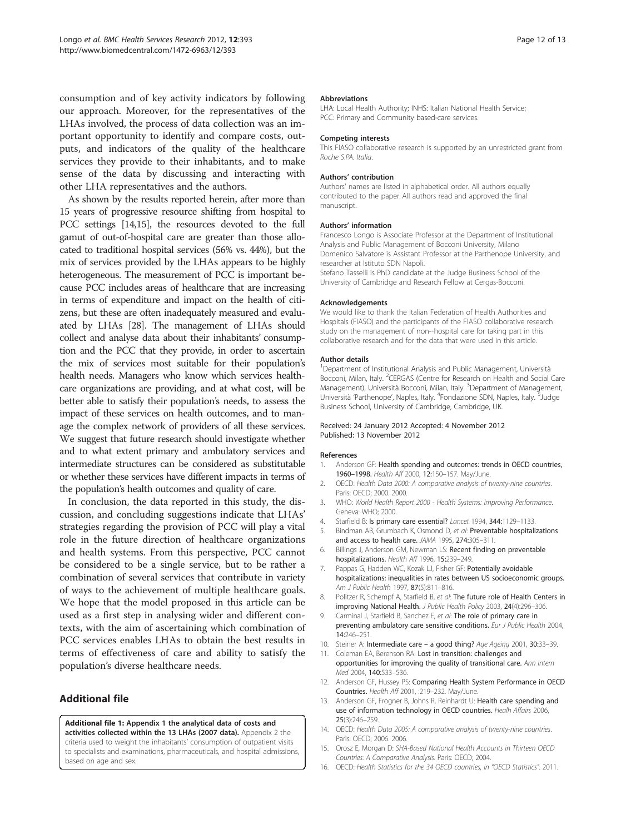<span id="page-11-0"></span>consumption and of key activity indicators by following our approach. Moreover, for the representatives of the LHAs involved, the process of data collection was an important opportunity to identify and compare costs, outputs, and indicators of the quality of the healthcare services they provide to their inhabitants, and to make sense of the data by discussing and interacting with other LHA representatives and the authors.

As shown by the results reported herein, after more than 15 years of progressive resource shifting from hospital to PCC settings [14,15], the resources devoted to the full gamut of out-of-hospital care are greater than those allocated to traditional hospital services (56% vs. 44%), but the mix of services provided by the LHAs appears to be highly heterogeneous. The measurement of PCC is important because PCC includes areas of healthcare that are increasing in terms of expenditure and impact on the health of citizens, but these are often inadequately measured and evaluated by LHAs [\[28](#page-12-0)]. The management of LHAs should collect and analyse data about their inhabitants' consumption and the PCC that they provide, in order to ascertain the mix of services most suitable for their population's health needs. Managers who know which services healthcare organizations are providing, and at what cost, will be better able to satisfy their population's needs, to assess the impact of these services on health outcomes, and to manage the complex network of providers of all these services. We suggest that future research should investigate whether and to what extent primary and ambulatory services and intermediate structures can be considered as substitutable or whether these services have different impacts in terms of the population's health outcomes and quality of care.

In conclusion, the data reported in this study, the discussion, and concluding suggestions indicate that LHAs' strategies regarding the provision of PCC will play a vital role in the future direction of healthcare organizations and health systems. From this perspective, PCC cannot be considered to be a single service, but to be rather a combination of several services that contribute in variety of ways to the achievement of multiple healthcare goals. We hope that the model proposed in this article can be used as a first step in analysing wider and different contexts, with the aim of ascertaining which combination of PCC services enables LHAs to obtain the best results in terms of effectiveness of care and ability to satisfy the population's diverse healthcare needs.

## Additional file

#### [Additional file 1:](http://www.biomedcentral.com/content/supplementary/1472-6963-12-393-S1.doc) Appendix 1 the analytical data of costs and

activities collected within the 13 LHAs (2007 data). Appendix 2 the criteria used to weight the inhabitants' consumption of outpatient visits to specialists and examinations, pharmaceuticals, and hospital admissions, based on age and sex.

#### Abbreviations

LHA: Local Health Authority; INHS: Italian National Health Service; PCC: Primary and Community based-care services.

#### Competing interests

This FIASO collaborative research is supported by an unrestricted grant from Roche S.PA. Italia.

#### Authors' contribution

Authors' names are listed in alphabetical order. All authors equally contributed to the paper. All authors read and approved the final manuscript.

#### Authors' information

Francesco Longo is Associate Professor at the Department of Institutional Analysis and Public Management of Bocconi University, Milano Domenico Salvatore is Assistant Professor at the Parthenope University, and researcher at Istituto SDN Napoli.

Stefano Tasselli is PhD candidate at the Judge Business School of the University of Cambridge and Research Fellow at Cergas-Bocconi.

#### Acknowledgements

We would like to thank the Italian Federation of Health Authorities and Hospitals (FIASO) and the participants of the FIASO collaborative research study on the management of non--hospital care for taking part in this collaborative research and for the data that were used in this article.

#### Author details

<sup>1</sup>Department of Institutional Analysis and Public Management, Università Bocconi, Milan, Italy. <sup>2</sup>CERGAS (Centre for Research on Health and Social Care Management), Università Bocconi, Milan, Italy. <sup>3</sup>Department of Management, Università 'Parthenope', Naples, Italy. <sup>4</sup>Fondazione SDN, Naples, Italy. <sup>5</sup>Judge Business School, University of Cambridge, Cambridge, UK.

#### Received: 24 January 2012 Accepted: 4 November 2012 Published: 13 November 2012

#### References

- 1. Anderson GF: Health spending and outcomes: trends in OECD countries, 1960–1998. Health Aff 2000, 12:150–157. May/June.
- 2. OECD: Health Data 2000: A comparative analysis of twenty-nine countries. Paris: OECD; 2000. 2000.
- 3. WHO: World Health Report 2000 Health Systems: Improving Performance. Geneva: WHO; 2000.
- 4. Starfield B: Is primary care essential? Lancet 1994, 344:1129-1133.
- 5. Bindman AB, Grumbach K, Osmond D, et al: Preventable hospitalizations and access to health care. JAMA 1995, 274:305–311.
- 6. Billings J, Anderson GM, Newman LS: Recent finding on preventable hospitalizations. Health Aff 1996, 15:239–249.
- 7. Pappas G, Hadden WC, Kozak LJ, Fisher GF: Potentially avoidable hospitalizations: inequalities in rates between US socioeconomic groups. Am J Public Health 1997, 87(5):811–816.
- 8. Politzer R, Schempf A, Starfield B, et al: The future role of Health Centers in improving National Health. J Public Health Policy 2003, 24(4):296–306.
- Carminal J, Starfield B, Sanchez E, et al: The role of primary care in preventing ambulatory care sensitive conditions. Eur J Public Health 2004, 14:246–251.
- 10. Steiner A: Intermediate care a good thing? Age Ageing 2001, 30:33-39.
- 11. Coleman EA, Berenson RA: Lost in transition: challenges and opportunities for improving the quality of transitional care. Ann Intern Med 2004, 140:533–536.
- 12. Anderson GF, Hussey PS: Comparing Health System Performance in OECD Countries. Health Aff 2001, :219–232. May/June.
- 13. Anderson GF, Frogner B, Johns R, Reinhardt U: Health care spending and use of information technology in OECD countries. Healh Affairs 2006, 25(3):246–259.
- 14. OECD: Health Data 2005: A comparative analysis of twenty-nine countries. Paris: OECD; 2006. 2006.
- 15. Orosz E, Morgan D: SHA-Based National Health Accounts in Thirteen OECD Countries: A Comparative Analysis. Paris: OECD; 2004.
- 16. OECD: Health Statistics for the 34 OECD countries, in "OECD Statistics". 2011.